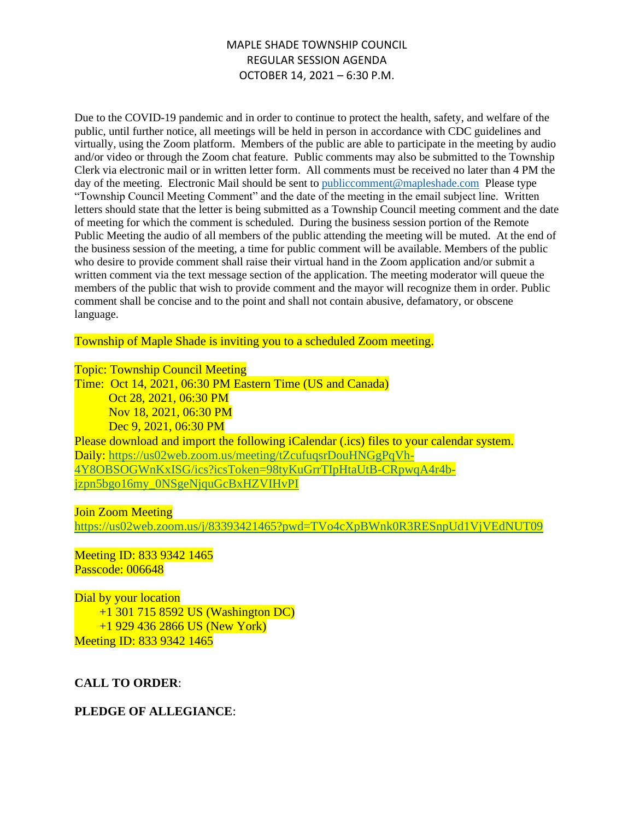Due to the COVID-19 pandemic and in order to continue to protect the health, safety, and welfare of the public, until further notice, all meetings will be held in person in accordance with CDC guidelines and virtually, using the Zoom platform. Members of the public are able to participate in the meeting by audio and/or video or through the Zoom chat feature. Public comments may also be submitted to the Township Clerk via electronic mail or in written letter form. All comments must be received no later than 4 PM the day of the meeting. Electronic Mail should be sent to [publiccomment@mapleshade.com](mailto:publiccomment@mapleshade.com) Please type "Township Council Meeting Comment" and the date of the meeting in the email subject line. Written letters should state that the letter is being submitted as a Township Council meeting comment and the date of meeting for which the comment is scheduled. During the business session portion of the Remote Public Meeting the audio of all members of the public attending the meeting will be muted. At the end of the business session of the meeting, a time for public comment will be available. Members of the public who desire to provide comment shall raise their virtual hand in the Zoom application and/or submit a written comment via the text message section of the application. The meeting moderator will queue the members of the public that wish to provide comment and the mayor will recognize them in order. Public comment shall be concise and to the point and shall not contain abusive, defamatory, or obscene language.

Township of Maple Shade is inviting you to a scheduled Zoom meeting.

#### Topic: Township Council Meeting

Time: Oct 14, 2021, 06:30 PM Eastern Time (US and Canada) Oct 28, 2021, 06:30 PM Nov 18, 2021, 06:30 PM Dec 9, 2021, 06:30 PM Please download and import the following iCalendar (.ics) files to your calendar system. Daily: [https://us02web.zoom.us/meeting/tZcufuqsrDouHNGgPqVh-](https://us02web.zoom.us/meeting/tZcufuqsrDouHNGgPqVh-4Y8OBSOGWnKxISG/ics?icsToken=98tyKuGrrTIpHtaUtB-CRpwqA4r4b-jzpn5bgo16my_0NSgeNjquGcBxHZVIHvPI)[4Y8OBSOGWnKxISG/ics?icsToken=98tyKuGrrTIpHtaUtB-CRpwqA4r4b](https://us02web.zoom.us/meeting/tZcufuqsrDouHNGgPqVh-4Y8OBSOGWnKxISG/ics?icsToken=98tyKuGrrTIpHtaUtB-CRpwqA4r4b-jzpn5bgo16my_0NSgeNjquGcBxHZVIHvPI)[jzpn5bgo16my\\_0NSgeNjquGcBxHZVIHvPI](https://us02web.zoom.us/meeting/tZcufuqsrDouHNGgPqVh-4Y8OBSOGWnKxISG/ics?icsToken=98tyKuGrrTIpHtaUtB-CRpwqA4r4b-jzpn5bgo16my_0NSgeNjquGcBxHZVIHvPI)

#### Join Zoom Meeting

<https://us02web.zoom.us/j/83393421465?pwd=TVo4cXpBWnk0R3RESnpUd1VjVEdNUT09>

#### Meeting ID: 833 9342 1465 Passcode: 006648

Dial by your location +1 301 715 8592 US (Washington DC) +1 929 436 2866 US (New York) Meeting ID: 833 9342 1465

#### **CALL TO ORDER**:

#### **PLEDGE OF ALLEGIANCE**: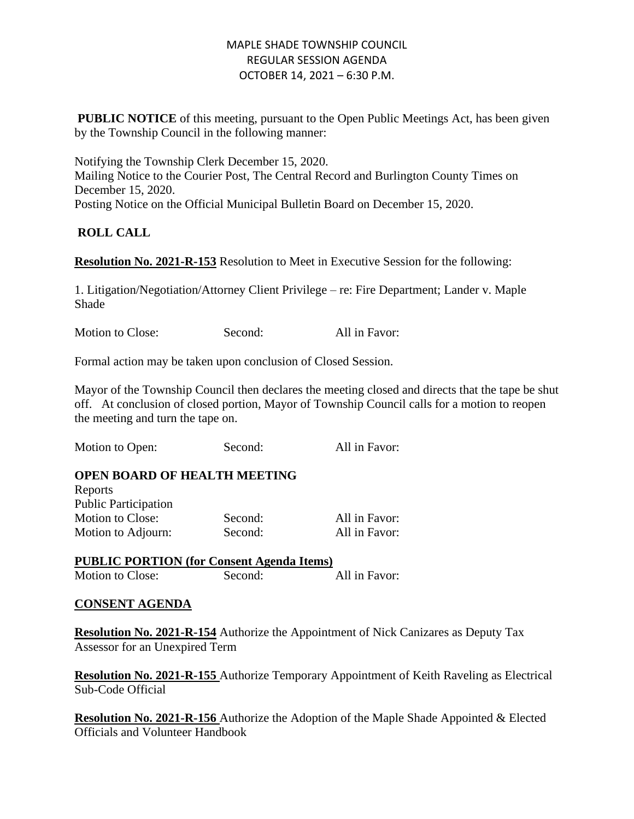**PUBLIC NOTICE** of this meeting, pursuant to the Open Public Meetings Act, has been given by the Township Council in the following manner:

Notifying the Township Clerk December 15, 2020. Mailing Notice to the Courier Post, The Central Record and Burlington County Times on December 15, 2020. Posting Notice on the Official Municipal Bulletin Board on December 15, 2020.

# **ROLL CALL**

**Resolution No. 2021-R-153** Resolution to Meet in Executive Session for the following:

1. Litigation/Negotiation/Attorney Client Privilege – re: Fire Department; Lander v. Maple Shade

Motion to Close: Second: All in Favor:

Formal action may be taken upon conclusion of Closed Session.

Mayor of the Township Council then declares the meeting closed and directs that the tape be shut off. At conclusion of closed portion, Mayor of Township Council calls for a motion to reopen the meeting and turn the tape on.

Motion to Open: Second: All in Favor:

# **OPEN BOARD OF HEALTH MEETING**

| Reports                     |         |               |
|-----------------------------|---------|---------------|
| <b>Public Participation</b> |         |               |
| Motion to Close:            | Second: | All in Favor: |
| Motion to Adjourn:          | Second: | All in Favor: |

**PUBLIC PORTION (for Consent Agenda Items)** Motion to Close: Second: All in Favor:

# **CONSENT AGENDA**

**Resolution No. 2021-R-154** Authorize the Appointment of Nick Canizares as Deputy Tax Assessor for an Unexpired Term

**Resolution No. 2021-R-155** Authorize Temporary Appointment of Keith Raveling as Electrical Sub-Code Official

**Resolution No. 2021-R-156** Authorize the Adoption of the Maple Shade Appointed & Elected Officials and Volunteer Handbook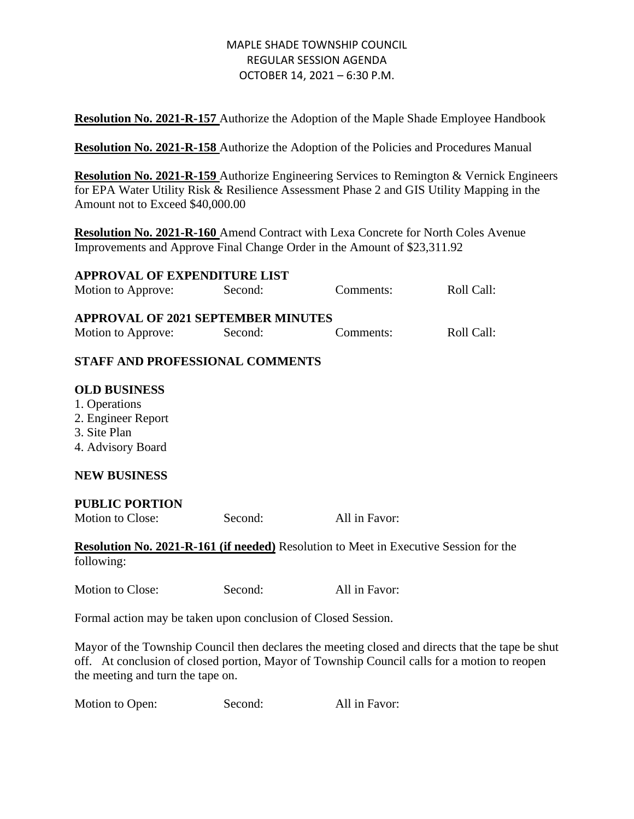**Resolution No. 2021-R-157** Authorize the Adoption of the Maple Shade Employee Handbook

**Resolution No. 2021-R-158** Authorize the Adoption of the Policies and Procedures Manual

**Resolution No. 2021-R-159** Authorize Engineering Services to Remington & Vernick Engineers for EPA Water Utility Risk & Resilience Assessment Phase 2 and GIS Utility Mapping in the Amount not to Exceed \$40,000.00

**Resolution No. 2021-R-160** Amend Contract with Lexa Concrete for North Coles Avenue Improvements and Approve Final Change Order in the Amount of \$23,311.92

| <b>APPROVAL OF EXPENDITURE LIST</b>                             |         |           |            |
|-----------------------------------------------------------------|---------|-----------|------------|
| Motion to Approve:                                              | Second: | Comments: | Roll Call: |
| <b>APPROVAL OF 2021 SEPTEMBER MINUTES</b><br>Motion to Approve: | Second: | Comments: | Roll Call: |

# **STAFF AND PROFESSIONAL COMMENTS**

#### **OLD BUSINESS**

- 1. Operations
- 2. Engineer Report
- 3. Site Plan
- 4. Advisory Board

# **NEW BUSINESS**

#### **PUBLIC PORTION**

Motion to Close: Second: All in Favor:

**Resolution No. 2021-R-161 (if needed)** Resolution to Meet in Executive Session for the following:

Motion to Close: Second: All in Favor:

Formal action may be taken upon conclusion of Closed Session.

Mayor of the Township Council then declares the meeting closed and directs that the tape be shut off. At conclusion of closed portion, Mayor of Township Council calls for a motion to reopen the meeting and turn the tape on.

Motion to Open: Second: All in Favor: